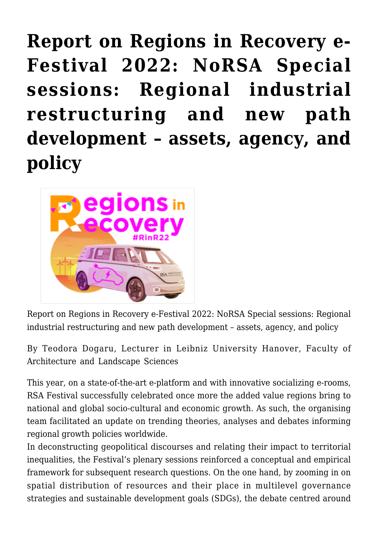**[Report on Regions in Recovery e-](https://regions.regionalstudies.org/ezine/article/report-on-regions-in-recovery-e-festival-2022-norsa-special-sessions-regional-industrial-restructuring-and-new-path-development-assets-agency-and-policy/)[Festival 2022: NoRSA Special](https://regions.regionalstudies.org/ezine/article/report-on-regions-in-recovery-e-festival-2022-norsa-special-sessions-regional-industrial-restructuring-and-new-path-development-assets-agency-and-policy/) [sessions: Regional industrial](https://regions.regionalstudies.org/ezine/article/report-on-regions-in-recovery-e-festival-2022-norsa-special-sessions-regional-industrial-restructuring-and-new-path-development-assets-agency-and-policy/) [restructuring and new path](https://regions.regionalstudies.org/ezine/article/report-on-regions-in-recovery-e-festival-2022-norsa-special-sessions-regional-industrial-restructuring-and-new-path-development-assets-agency-and-policy/) [development – assets, agency, and](https://regions.regionalstudies.org/ezine/article/report-on-regions-in-recovery-e-festival-2022-norsa-special-sessions-regional-industrial-restructuring-and-new-path-development-assets-agency-and-policy/) [policy](https://regions.regionalstudies.org/ezine/article/report-on-regions-in-recovery-e-festival-2022-norsa-special-sessions-regional-industrial-restructuring-and-new-path-development-assets-agency-and-policy/)**



Report on Regions in Recovery e-Festival 2022: NoRSA Special sessions: Regional industrial restructuring and new path development – assets, agency, and policy

By [Teodora Dogaru,](https://scholar.google.com/citations?hl=en&user=mSOzsg4AAAAJ) Lecturer in Leibniz University Hanover, Faculty of Architecture and Landscape Sciences

This year, on a state-of-the-art e-platform and with innovative socializing e-rooms, RSA Festival successfully celebrated once more the added value regions bring to national and global socio-cultural and economic growth. As such, the organising team facilitated an update on trending theories, analyses and debates informing regional growth policies worldwide.

In deconstructing geopolitical discourses and relating their impact to territorial inequalities, the Festival's plenary sessions reinforced a conceptual and empirical framework for subsequent research questions. On the one hand, by zooming in on spatial distribution of resources and their place in multilevel governance strategies and sustainable development goals (SDGs), the debate centred around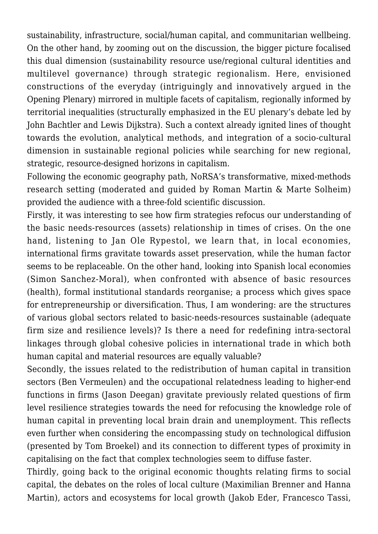sustainability, infrastructure, social/human capital, and communitarian wellbeing. On the other hand, by zooming out on the discussion, the bigger picture focalised this dual dimension (sustainability resource use/regional cultural identities and multilevel governance) through strategic regionalism. Here, envisioned constructions of the everyday (intriguingly and innovatively argued in the Opening Plenary) mirrored in multiple facets of capitalism, regionally informed by territorial inequalities (structurally emphasized in the EU plenary's debate led by John Bachtler and Lewis Dijkstra). Such a context already ignited lines of thought towards the evolution, analytical methods, and integration of a socio-cultural dimension in sustainable regional policies while searching for new regional, strategic, resource-designed horizons in capitalism.

Following the economic geography path, NoRSA's transformative, mixed-methods research setting (moderated and guided by Roman Martin & Marte Solheim) provided the audience with a three-fold scientific discussion.

Firstly, it was interesting to see how firm strategies refocus our understanding of the basic needs-resources (assets) relationship in times of crises. On the one hand, listening to Jan Ole Rypestol, we learn that, in local economies, international firms gravitate towards asset preservation, while the human factor seems to be replaceable. On the other hand, looking into Spanish local economies (Simon Sanchez-Moral), when confronted with absence of basic resources (health), formal institutional standards reorganise; a process which gives space for entrepreneurship or diversification. Thus, I am wondering: are the structures of various global sectors related to basic-needs-resources sustainable (adequate firm size and resilience levels)? Is there a need for redefining intra-sectoral linkages through global cohesive policies in international trade in which both human capital and material resources are equally valuable?

Secondly, the issues related to the redistribution of human capital in transition sectors (Ben Vermeulen) and the occupational relatedness leading to higher-end functions in firms (Jason Deegan) gravitate previously related questions of firm level resilience strategies towards the need for refocusing the knowledge role of human capital in preventing local brain drain and unemployment. This reflects even further when considering the encompassing study on technological diffusion (presented by Tom Broekel) and its connection to different types of proximity in capitalising on the fact that complex technologies seem to diffuse faster.

Thirdly, going back to the original economic thoughts relating firms to social capital, the debates on the roles of local culture (Maximilian Brenner and Hanna Martin), actors and ecosystems for local growth (Jakob Eder, Francesco Tassi,